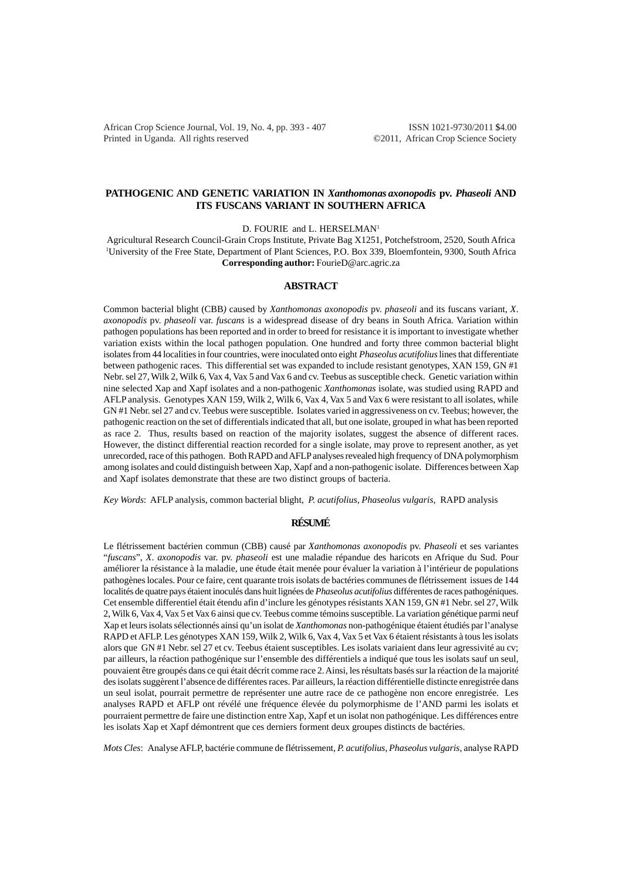African Crop Science Journal, Vol. 19, No. 4, pp. 393 - 407 ISSN 1021-9730/2011 \$4.00 Printed in Uganda. All rights reserved ©2011, African Crop Science Society

### **PATHOGENIC AND GENETIC VARIATION IN** *Xanthomonas axonopodis* **pv.** *Phaseoli* **AND ITS FUSCANS VARIANT IN SOUTHERN AFRICA**

D. FOURIE and L. HERSELMAN<sup>1</sup>

Agricultural Research Council-Grain Crops Institute, Private Bag X1251, Potchefstroom, 2520, South Africa 1 University of the Free State, Department of Plant Sciences, P.O. Box 339, Bloemfontein, 9300, South Africa **Corresponding author:** FourieD@arc.agric.za

### **ABSTRACT**

Common bacterial blight (CBB*)* caused by *Xanthomonas axonopodis* pv. *phaseoli* and its fuscans variant, *X*. *axonopodis* pv. *phaseoli* var. *fuscans* is a widespread disease of dry beans in South Africa. Variation within pathogen populations has been reported and in order to breed for resistance it is important to investigate whether variation exists within the local pathogen population. One hundred and forty three common bacterial blight isolates from 44 localities in four countries, were inoculated onto eight *Phaseolus acutifolius* lines that differentiate between pathogenic races. This differential set was expanded to include resistant genotypes, XAN 159, GN #1 Nebr. sel 27, Wilk 2, Wilk 6, Vax 4, Vax 5 and Vax 6 and cv. Teebus as susceptible check. Genetic variation within nine selected Xap and Xapf isolates and a non-pathogenic *Xanthomonas* isolate, was studied using RAPD and AFLP analysis. Genotypes XAN 159, Wilk 2, Wilk 6, Vax 4, Vax 5 and Vax 6 were resistant to all isolates, while GN #1 Nebr. sel 27 and cv. Teebus were susceptible. Isolates varied in aggressiveness on cv. Teebus; however, the pathogenic reaction on the set of differentials indicated that all, but one isolate, grouped in what has been reported as race 2. Thus, results based on reaction of the majority isolates, suggest the absence of different races. However, the distinct differential reaction recorded for a single isolate, may prove to represent another, as yet unrecorded, race of this pathogen. Both RAPD and AFLP analyses revealed high frequency of DNA polymorphism among isolates and could distinguish between Xap, Xapf and a non-pathogenic isolate. Differences between Xap and Xapf isolates demonstrate that these are two distinct groups of bacteria.

*Key Words*: AFLP analysis, common bacterial blight, *P. acutifolius, Phaseolus vulgaris*, RAPD analysis

## **RÉSUMÉ**

Le flétrissement bactérien commun (CBB) causé par *Xanthomonas axonopodis* pv. *Phaseoli* et ses variantes "*fuscans*", *X*. *axonopodis* var. pv. *phaseoli* est une maladie répandue des haricots en Afrique du Sud. Pour améliorer la résistance à la maladie, une étude était menée pour évaluer la variation à l'intérieur de populations pathogènes locales. Pour ce faire, cent quarante trois isolats de bactéries communes de flétrissement issues de 144 localités de quatre pays étaient inoculés dans huit lignées de *Phaseolus acutifolius* différentes de races pathogéniques. Cet ensemble differentiel était étendu afin d'inclure les génotypes résistants XAN 159, GN #1 Nebr. sel 27, Wilk 2, Wilk 6, Vax 4, Vax 5 et Vax 6 ainsi que cv. Teebus comme témoins susceptible. La variation génétique parmi neuf Xap et leurs isolats sélectionnés ainsi qu'un isolat de *Xanthomonas* non-pathogénique étaient étudiés par l'analyse RAPD et AFLP. Les génotypes XAN 159, Wilk 2, Wilk 6, Vax 4, Vax 5 et Vax 6 étaient résistants à tous les isolats alors que GN #1 Nebr. sel 27 et cv. Teebus étaient susceptibles. Les isolats variaient dans leur agressivité au cv; par ailleurs, la réaction pathogénique sur l'ensemble des différentiels a indiqué que tous les isolats sauf un seul, pouvaient être groupés dans ce qui était décrit comme race 2. Ainsi, les résultats basés sur la réaction de la majorité des isolats suggèrent l'absence de différentes races. Par ailleurs, la réaction différentielle distincte enregistrée dans un seul isolat, pourrait permettre de représenter une autre race de ce pathogène non encore enregistrée. Les analyses RAPD et AFLP ont révélé une fréquence élevée du polymorphisme de l'AND parmi les isolats et pourraient permettre de faire une distinction entre Xap, Xapf et un isolat non pathogénique. Les différences entre les isolats Xap et Xapf démontrent que ces derniers forment deux groupes distincts de bactéries.

*Mots Cles*: Analyse AFLP, bactérie commune de flétrissement, *P. acutifolius, Phaseolus vulgaris*, analyse RAPD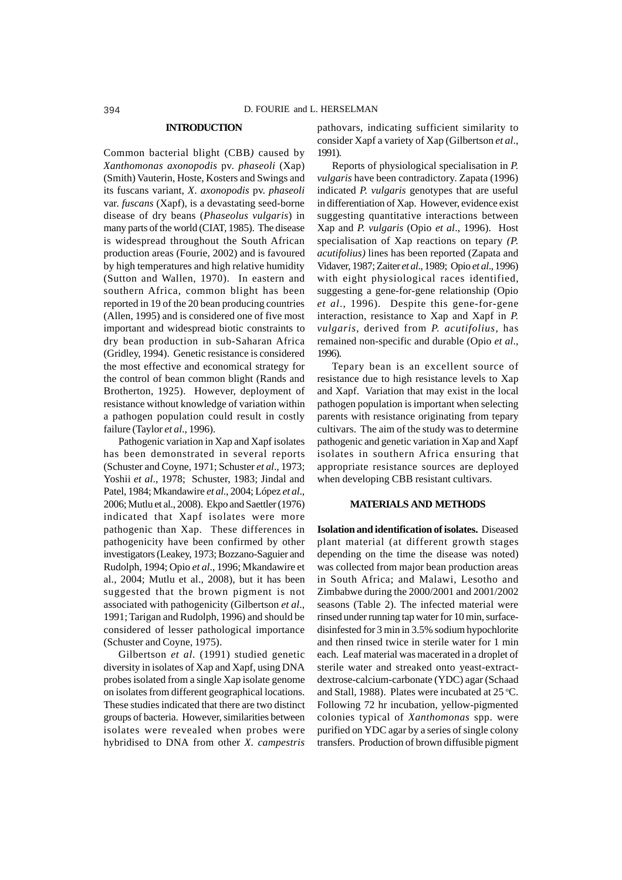#### **INTRODUCTION**

Common bacterial blight (CBB*)* caused by *Xanthomonas axonopodis* pv. *phaseoli* (Xap) (Smith) Vauterin, Hoste, Kosters and Swings and its fuscans variant, *X*. *axonopodis* pv. *phaseoli* var. *fuscans* (Xapf), is a devastating seed-borne disease of dry beans (*Phaseolus vulgaris*) in many parts of the world (CIAT, 1985). The disease is widespread throughout the South African production areas (Fourie, 2002) and is favoured by high temperatures and high relative humidity (Sutton and Wallen, 1970). In eastern and southern Africa, common blight has been reported in 19 of the 20 bean producing countries (Allen, 1995) and is considered one of five most important and widespread biotic constraints to dry bean production in sub-Saharan Africa (Gridley, 1994). Genetic resistance is considered the most effective and economical strategy for the control of bean common blight (Rands and Brotherton, 1925). However, deployment of resistance without knowledge of variation within a pathogen population could result in costly failure (Taylor *et al*., 1996).

Pathogenic variation in Xap and Xapf isolates has been demonstrated in several reports (Schuster and Coyne, 1971; Schuster *et al*., 1973; Yoshii *et al*., 1978; Schuster, 1983; Jindal and Patel, 1984; Mkandawire *et al*., 2004; López *et al*., 2006; Mutlu et al., 2008). Ekpo and Saettler (1976) indicated that Xapf isolates were more pathogenic than Xap. These differences in pathogenicity have been confirmed by other investigators (Leakey, 1973; Bozzano-Saguier and Rudolph, 1994; Opio *et al*., 1996; Mkandawire et al., 2004; Mutlu et al., 2008), but it has been suggested that the brown pigment is not associated with pathogenicity (Gilbertson *et al*., 1991; Tarigan and Rudolph, 1996) and should be considered of lesser pathological importance (Schuster and Coyne, 1975).

Gilbertson *et al*. (1991) studied genetic diversity in isolates of Xap and Xapf, using DNA probes isolated from a single Xap isolate genome on isolates from different geographical locations. These studies indicated that there are two distinct groups of bacteria. However, similarities between isolates were revealed when probes were hybridised to DNA from other *X. campestris*

pathovars, indicating sufficient similarity to consider Xapf a variety of Xap (Gilbertson *et al*., 1991).

Reports of physiological specialisation in *P. vulgaris* have been contradictory. Zapata (1996) indicated *P. vulgaris* genotypes that are useful in differentiation of Xap. However, evidence exist suggesting quantitative interactions between Xap and *P. vulgaris* (Opio *et al*., 1996). Host specialisation of Xap reactions on tepary *(P. acutifolius)* lines has been reported (Zapata and Vidaver, 1987; Zaiter *et al*., 1989; Opio *et al*., 1996) with eight physiological races identified, suggesting a gene-for-gene relationship (Opio *et al*., 1996). Despite this gene-for-gene interaction, resistance to Xap and Xapf in *P. vulgaris*, derived from *P. acutifolius*, has remained non-specific and durable (Opio *et al*., 1996).

Tepary bean is an excellent source of resistance due to high resistance levels to Xap and Xapf. Variation that may exist in the local pathogen population is important when selecting parents with resistance originating from tepary cultivars. The aim of the study was to determine pathogenic and genetic variation in Xap and Xapf isolates in southern Africa ensuring that appropriate resistance sources are deployed when developing CBB resistant cultivars.

### **MATERIALS AND METHODS**

**Isolation and identification of isolates.** Diseased plant material (at different growth stages depending on the time the disease was noted) was collected from major bean production areas in South Africa; and Malawi, Lesotho and Zimbabwe during the 2000/2001 and 2001/2002 seasons (Table 2). The infected material were rinsed under running tap water for 10 min, surfacedisinfested for 3 min in 3.5% sodium hypochlorite and then rinsed twice in sterile water for 1 min each. Leaf material was macerated in a droplet of sterile water and streaked onto yeast-extractdextrose-calcium-carbonate (YDC) agar (Schaad and Stall, 1988). Plates were incubated at  $25^{\circ}$ C. Following 72 hr incubation, yellow-pigmented colonies typical of *Xanthomonas* spp. were purified on YDC agar by a series of single colony transfers. Production of brown diffusible pigment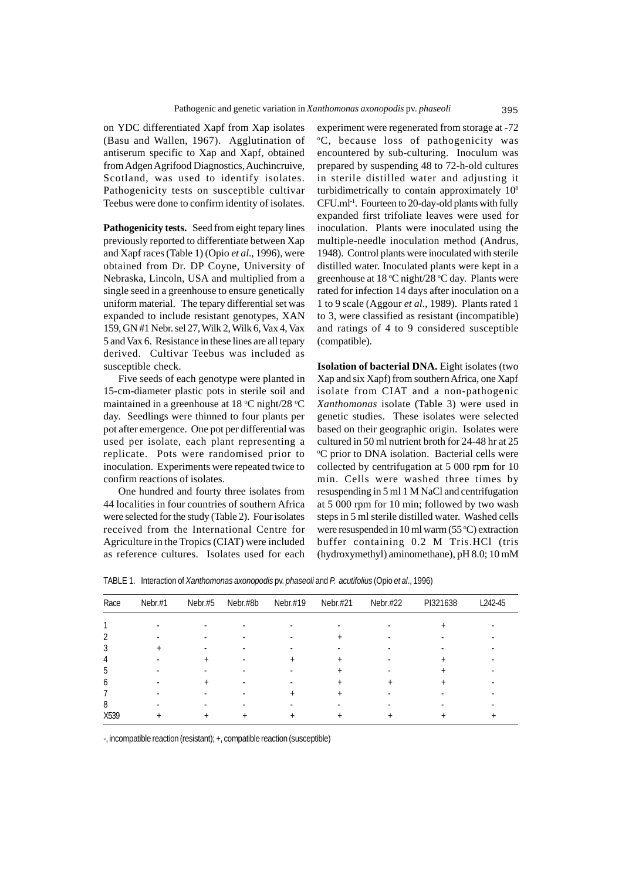on YDC differentiated Xapf from Xap isolates (Basu and Wallen, 1967). Agglutination of antiserum specific to Xap and Xapf, obtained from Adgen Agrifood Diagnostics, Auchincruive, Scotland, was used to identify isolates. Pathogenicity tests on susceptible cultivar Teebus were done to confirm identity of isolates.

**Pathogenicity tests.** Seed from eight tepary lines previously reported to differentiate between Xap and Xapf races (Table 1) (Opio *et al*., 1996), were obtained from Dr. DP Coyne, University of Nebraska, Lincoln, USA and multiplied from a single seed in a greenhouse to ensure genetically uniform material. The tepary differential set was expanded to include resistant genotypes, XAN 159, GN #1 Nebr. sel 27, Wilk 2, Wilk 6, Vax 4, Vax 5 and Vax 6. Resistance in these lines are all tepary derived. Cultivar Teebus was included as susceptible check.

Five seeds of each genotype were planted in 15-cm-diameter plastic pots in sterile soil and maintained in a greenhouse at 18 °C night/28 °C day. Seedlings were thinned to four plants per pot after emergence. One pot per differential was used per isolate, each plant representing a replicate. Pots were randomised prior to inoculation. Experiments were repeated twice to confirm reactions of isolates.

One hundred and fourty three isolates from 44 localities in four countries of southern Africa were selected for the study (Table 2). Four isolates received from the International Centre for Agriculture in the Tropics (CIAT) were included as reference cultures. Isolates used for each

experiment were regenerated from storage at -72 o C, because loss of pathogenicity was encountered by sub-culturing. Inoculum was prepared by suspending 48 to 72-h-old cultures in sterile distilled water and adjusting it turbidimetrically to contain approximately 108 CFU.ml-1. Fourteen to 20-day-old plants with fully expanded first trifoliate leaves were used for inoculation. Plants were inoculated using the multiple-needle inoculation method (Andrus, 1948). Control plants were inoculated with sterile distilled water. Inoculated plants were kept in a greenhouse at 18 °C night/28 °C day. Plants were rated for infection 14 days after inoculation on a 1 to 9 scale (Aggour *et al*., 1989). Plants rated 1 to 3, were classified as resistant (incompatible) and ratings of 4 to 9 considered susceptible (compatible).

**Isolation of bacterial DNA.** Eight isolates (two Xap and six Xapf) from southern Africa, one Xapf isolate from CIAT and a non-pathogenic *Xanthomonas* isolate (Table 3) were used in genetic studies. These isolates were selected based on their geographic origin. Isolates were cultured in 50 ml nutrient broth for 24-48 hr at 25 <sup>o</sup>C prior to DNA isolation. Bacterial cells were collected by centrifugation at 5 000 rpm for 10 min. Cells were washed three times by resuspending in 5 ml 1 M NaCl and centrifugation at 5 000 rpm for 10 min; followed by two wash steps in 5 ml sterile distilled water. Washed cells were resuspended in 10 ml warm  $(55 °C)$  extraction buffer containing 0.2 M Tris.HCl (tris (hydroxymethyl) aminomethane), pH 8.0; 10 mM

| Race | $Nebr.+1$ | Nebr.#5   | Nebr.#8b       | Nebr $#19$ | Nebr $.#21$ | Nebr $#22$ | PI321638 | L242-45 |
|------|-----------|-----------|----------------|------------|-------------|------------|----------|---------|
|      |           |           |                |            |             |            |          |         |
|      |           |           |                |            |             |            |          |         |
|      |           |           |                |            |             |            |          |         |
| 3    |           |           |                |            |             |            |          |         |
| 4    |           |           |                |            |             |            |          |         |
| b    |           |           |                |            |             |            |          |         |
| 6    |           | $\ddot{}$ |                |            |             |            | ÷        |         |
|      |           |           |                |            |             |            |          |         |
| 8    |           |           |                |            |             |            |          |         |
| X539 | ٠         | $\ddot{}$ | $\overline{ }$ |            | $^{+}$      |            |          | ÷       |

TABLE 1. Interaction of *Xanthomonas axonopodis* pv. *phaseoli* and *P. acutifolius* (Opio *et al*., 1996)

-, incompatible reaction (resistant); +, compatible reaction (susceptible)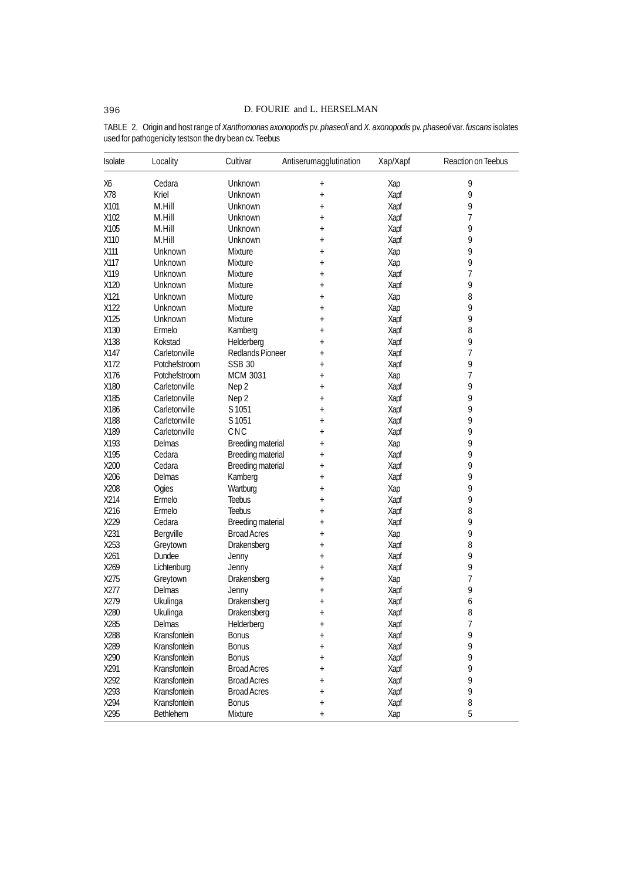| Isolate | Locality      | Cultivar                 | Antiserumagglutination | Xap/Xapf | Reaction on Teebus |
|---------|---------------|--------------------------|------------------------|----------|--------------------|
| Х6      | Cedara        | Unknown                  | $^{+}$                 | Xap      | 9                  |
| X78     | Kriel         | Unknown                  | $\ddot{}$              | Xapf     | 9                  |
| X101    | M.Hill        | Unknown                  | $^{+}$                 | Xapf     | 9                  |
| X102    | M.Hill        | Unknown                  | $^{+}$                 | Xapf     | 7                  |
| X105    | M.Hill        | Unknown                  | $^{+}$                 | Xapf     | 9                  |
| X110    | M.Hill        | Unknown                  | $^{+}$                 | Xapf     | 9                  |
| X111    | Unknown       | Mixture                  | $\ddot{}$              | Xap      | 9                  |
| X117    | Unknown       | Mixture                  | $^{+}$                 | Xap      | 9                  |
| X119    | Unknown       | Mixture                  | $\ddot{}$              | Xapf     | 7                  |
| X120    | Unknown       | <b>Mixture</b>           | $^{+}$                 | Xapf     | 9                  |
| X121    | Unknown       | <b>Mixture</b>           | $^{+}$                 | Xap      | 8                  |
| X122    | Unknown       | <b>Mixture</b>           | $\ddot{}$              | Xap      | 9                  |
| X125    | Unknown       | Mixture                  | $^{+}$                 | Xapf     | 9                  |
| X130    | Ermelo        | Kamberg                  | $\ddot{}$              | Xapf     | $\, 8$             |
| X138    | Kokstad       | Helderberg               | $^{+}$                 | Xapf     | 9                  |
| X147    | Carletonville | Redlands Pioneer         | $^{+}$                 | Xapf     | 7                  |
| X172    | Potchefstroom | <b>SSB 30</b>            | $\ddot{}$              | Xapf     | 9                  |
| X176    | Potchefstroom | <b>MCM 3031</b>          | $^{+}$                 | Xap      | 7                  |
| X180    | Carletonville | Nep 2                    | $\ddot{}$              | Xapf     | 9                  |
| X185    | Carletonville | Nep 2                    | $^{+}$                 | Xapf     | 9                  |
| X186    | Carletonville | S 1051                   | $^{+}$                 | Xapf     | 9                  |
| X188    | Carletonville | S 1051                   | $\ddot{}$              | Xapf     | 9                  |
| X189    | Carletonville | CNC                      | $^{+}$                 | Xapf     | 9                  |
| X193    | Delmas        | Breeding material        |                        | Xap      | 9                  |
| X195    | Cedara        |                          | $\ddot{}$              |          | 9                  |
| X200    | Cedara        | Breeding material        | $\ddagger$             | Xapf     | 9                  |
| X206    | Delmas        | <b>Breeding material</b> | $^{+}$                 | Xapf     | 9                  |
|         |               | Kamberg                  | $^{+}$                 | Xapf     |                    |
| X208    | Ogies         | Wartburg                 | $^{+}$                 | Xap      | 9                  |
| X214    | Ermelo        | <b>Teebus</b>            | $^{+}$                 | Xapf     | 9                  |
| X216    | Ermelo        | <b>Teebus</b>            | $\ddagger$             | Xapf     | 8                  |
| X229    | Cedara        | Breeding material        | $^{+}$                 | Xapf     | 9                  |
| X231    | Bergville     | <b>Broad Acres</b>       | $\ddot{}$              | Xap      | 9                  |
| X253    | Greytown      | Drakensberg              | $^{+}$                 | Xapf     | 8                  |
| X261    | Dundee        | Jenny                    | $\ddot{}$              | Xapf     | 9                  |
| X269    | Lichtenburg   | Jenny                    | $\ddagger$             | Xapf     | 9                  |
| X275    | Greytown      | Drakensberg              | $\ddagger$             | Xap      | 7                  |
| X277    | Delmas        | Jenny                    | $^{+}$                 | Xapf     | 9                  |
| X279    | Ukulinga      | Drakensberg              | $\ddagger$             | Xapf     | 6                  |
| X280    | Ukulinga      | Drakensberg              | $\ddot{}$              | Xapf     | 8                  |
| X285    | Delmas        | Helderberg               |                        | Xapf     | 7                  |
| X288    | Kransfontein  | <b>Bonus</b>             | $^{+}$                 | Xapf     | 9                  |
| X289    | Kransfontein  | <b>Bonus</b>             | $\ddot{}$              | Xapf     | 9                  |
| X290    | Kransfontein  | <b>Bonus</b>             | $\hbox{ }$             | Xapf     | 9                  |
| X291    | Kransfontein  | <b>Broad Acres</b>       | $\ddot{}$              | Xapf     | 9                  |
| X292    | Kransfontein  | <b>Broad Acres</b>       | $\ddot{}$              | Xapf     | 9                  |
| X293    | Kransfontein  | <b>Broad Acres</b>       | $\pmb{+}$              | Xapf     | 9                  |
| X294    | Kransfontein  | <b>Bonus</b>             | $\pmb{+}$              | Xapf     | 8                  |
| X295    | Bethlehem     | Mixture                  | $^{+}$                 | Xap      | 5                  |

TABLE 2. Origin and host range of *Xanthomonas axonopodis* pv. *phaseoli* and *X. axonopodis* pv. *phaseoli* var. *fuscans* isolates used for pathogenicity testson the dry bean cv. Teebus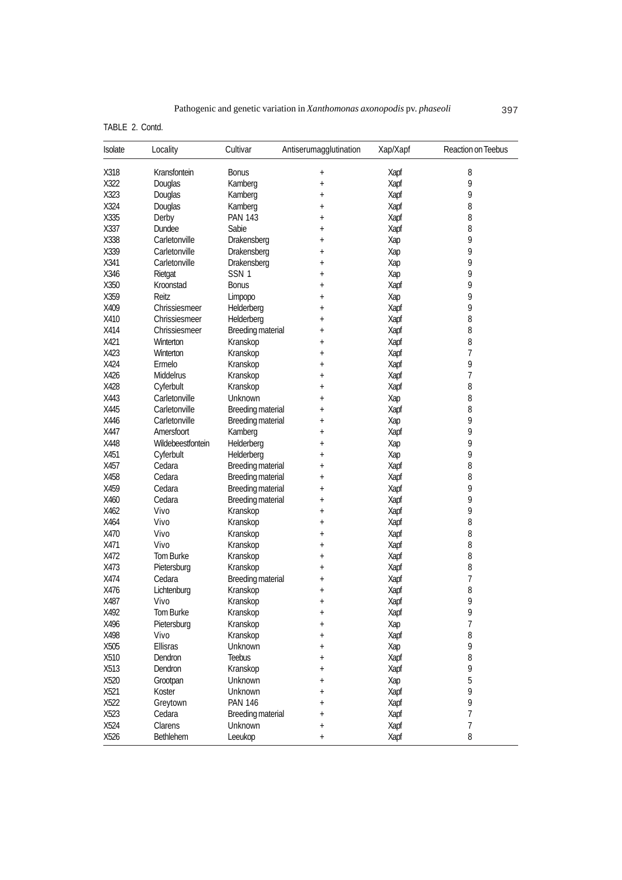TABLE 2. Contd.

| Isolate | Locality          | Cultivar                 | Antiserumagglutination | Xap/Xapf | Reaction on Teebus |
|---------|-------------------|--------------------------|------------------------|----------|--------------------|
| X318    | Kransfontein      | <b>Bonus</b>             | $\ddot{}$              | Xapf     | 8                  |
| X322    | Douglas           | Kamberg                  | $\ddot{}$              | Xapf     | 9                  |
| X323    | Douglas           | Kamberg                  | $^{+}$                 | Xapf     | 9                  |
| X324    | Douglas           | Kamberg                  | $\ddot{}$              | Xapf     | 8                  |
| X335    | Derby             | <b>PAN 143</b>           | $\pmb{+}$              | Xapf     | 8                  |
| X337    | Dundee            | Sabie                    | $\ddot{}$              | Xapf     | 8                  |
| X338    | Carletonville     | Drakensberg              | $^{+}$                 | Xap      | 9                  |
| X339    | Carletonville     | Drakensberg              | $^{+}$                 | Xap      | 9                  |
| X341    | Carletonville     | Drakensberg              | $\ddot{}$              | Xap      | 9                  |
| X346    | Rietgat           | SSN <sub>1</sub>         | $^{+}$                 | Xap      | 9                  |
| X350    | Kroonstad         | <b>Bonus</b>             | $\ddagger$             | Xapf     | 9                  |
| X359    | Reitz             | Limpopo                  | $^{+}$                 | Xap      | 9                  |
| X409    | Chrissiesmeer     | Helderberg               | $^{+}$                 | Xapf     | 9                  |
| X410    | Chrissiesmeer     | Helderberg               | $\ddot{}$              | Xapf     | 8                  |
| X414    | Chrissiesmeer     | Breeding material        | $^{+}$                 | Xapf     | 8                  |
| X421    | Winterton         | Kranskop                 | $\ddagger$             | Xapf     | 8                  |
| X423    | Winterton         | Kranskop                 | $^{+}$                 | Xapf     | 7                  |
| X424    | Ermelo            | Kranskop                 | $^{+}$                 | Xapf     | 9                  |
| X426    | Middelrus         | Kranskop                 | $\ddot{}$              | Xapf     | 7                  |
| X428    | Cyferbult         | Kranskop                 | $\ddot{}$              | Xapf     | 8                  |
| X443    | Carletonville     | Unknown                  | $\ddot{}$              | Xap      | 8                  |
| X445    | Carletonville     | Breeding material        | $^{+}$                 | Xapf     | 8                  |
| X446    | Carletonville     | Breeding material        | $^{+}$                 | Xap      | 9                  |
| X447    | Amersfoort        | Kamberg                  | $\ddot{}$              | Xapf     | 9                  |
| X448    | Wildebeestfontein | Helderberg               | $^{+}$                 | Xap      | 9                  |
| X451    | Cyferbult         | Helderberg               | $^{+}$                 | Xap      | 9                  |
| X457    | Cedara            | <b>Breeding material</b> | $\ddot{}$              | Xapf     | 8                  |
| X458    | Cedara            | Breeding material        | $^{+}$                 | Xapf     | 8                  |
| X459    | Cedara            | Breeding material        | $\ddot{}$              | Xapf     | 9                  |
| X460    | Cedara            | Breeding material        | $\ddot{}$              | Xapf     | 9                  |
| X462    | Vivo              | Kranskop                 | $^{+}$                 | Xapf     | 9                  |
| X464    | Vivo              | Kranskop                 | $^{+}$                 | Xapf     | 8                  |
| X470    | Vivo              | Kranskop                 | $^{+}$                 | Xapf     | 8                  |
| X471    | Vivo              | Kranskop                 | $\ddot{}$              | Xapf     | 8                  |
| X472    | Tom Burke         | Kranskop                 | $\ddot{}$              | Xapf     | 8                  |
| X473    | Pietersburg       | Kranskop                 | $^{+}$                 | Xapf     | 8                  |
| X474    | Cedara            | <b>Breeding material</b> | $\ddot{}$              | Xapf     | 7                  |
| X476    | Lichtenburg       | Kranskop                 | $\ddot{}$              | Xapf     | 8                  |
| X487    | Vivo              | Kranskop                 | $\ddot{}$              | Xapf     | 9                  |
| X492    | Tom Burke         | Kranskop                 | $\pmb{+}$              | Xapf     | 9                  |
| X496    | Pietersburg       | Kranskop                 | $\ddot{}$              | Xap      | 7                  |
| X498    | Vivo              | Kranskop                 | $\ddot{}$              | Xapf     | 8                  |
| X505    | Ellisras          | Unknown                  | $^{+}$                 | Xap      | 9                  |
| X510    | Dendron           | <b>Teebus</b>            | $^{+}$                 | Xapf     | 8                  |
| X513    | Dendron           | Kranskop                 | $^{+}$                 | Xapf     | 9                  |
| X520    | Grootpan          | Unknown                  | $^{+}$                 | Xap      | 5                  |
| X521    | Koster            | Unknown                  | $\ddot{}$              | Xapf     | 9                  |
| X522    | Greytown          | <b>PAN 146</b>           | $^{+}$                 | Xapf     | 9                  |
| X523    | Cedara            | Breeding material        |                        | Xapf     | 7                  |
| X524    | Clarens           | Unknown                  | $\pmb{+}$              | Xapf     | 7                  |
| X526    | Bethlehem         | Leeukop                  | $\pmb{+}$              | Xapf     | 8                  |
|         |                   |                          | $^{+}$                 |          |                    |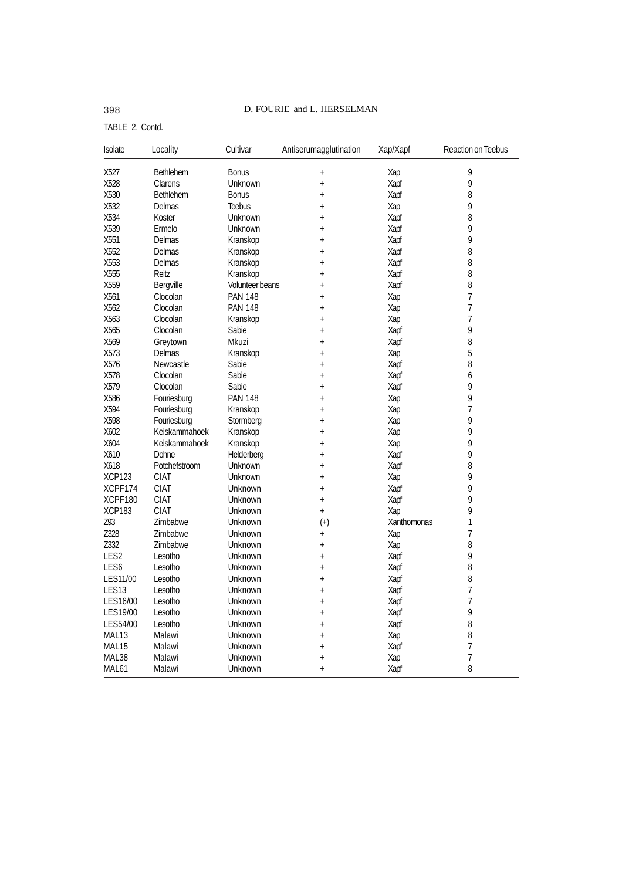# 398 D. FOURIE and L. HERSELMAN

TABLE 2. Contd.

| Isolate           | Locality         | Cultivar        | Antiserumagglutination | Xap/Xapf    | Reaction on Teebus |
|-------------------|------------------|-----------------|------------------------|-------------|--------------------|
| X527              | <b>Bethlehem</b> | <b>Bonus</b>    | $\ddot{}$              | Xap         | 9                  |
| X528              | Clarens          | Unknown         | $\ddot{}$              | Xapf        | 9                  |
| X530              | <b>Bethlehem</b> | <b>Bonus</b>    | $^{+}$                 | Xapf        | 8                  |
| X532              | Delmas           | <b>Teebus</b>   | $\ddot{}$              | Xap         | 9                  |
| X534              | Koster           | Unknown         | $\ddot{}$              | Xapf        | 8                  |
| X539              | Ermelo           | Unknown         | $\ddot{}$              | Xapf        | 9                  |
| X551              | Delmas           | Kranskop        | $^{+}$                 | Xapf        | 9                  |
| X552              | Delmas           | Kranskop        | $\ddot{}$              | Xapf        | 8                  |
| X553              | Delmas           | Kranskop        | $\ddot{}$              | Xapf        | 8                  |
| X555              | Reitz            | Kranskop        | $\ddot{}$              | Xapf        | 8                  |
| X559              | Bergville        | Volunteer beans | $\ddot{}$              | Xapf        | 8                  |
| X561              | Clocolan         | <b>PAN 148</b>  | $\ddot{}$              | Xap         | 7                  |
| X562              | Clocolan         | <b>PAN 148</b>  | $\ddot{}$              | Xap         | 7                  |
| X563              | Clocolan         | Kranskop        | $\ddot{}$              | Xap         | 7                  |
| X565              | Clocolan         | Sabie           | $\ddot{}$              | Xapf        | 9                  |
| X569              | Greytown         | Mkuzi           | $\ddot{}$              | Xapf        | 8                  |
| X573              | Delmas           | Kranskop        | $\ddot{}$              | Xap         | 5                  |
| X576              | Newcastle        | Sabie           | $\ddot{}$              | Xapf        | 8                  |
| X578              | Clocolan         | Sabie           | $\ddot{}$              | Xapf        | 6                  |
| X579              | Clocolan         | Sabie           | $\ddot{}$              | Xapf        | 9                  |
| X586              | Fouriesburg      | <b>PAN 148</b>  | $\ddot{}$              | Xap         | 9                  |
| X594              | Fouriesburg      | Kranskop        | $\ddot{}$              | Xap         | 7                  |
| X598              | Fouriesburg      | Stormberg       | $\ddot{}$              | Xap         | 9                  |
| X602              | Keiskammahoek    | Kranskop        | $\ddot{}$              | Xap         | 9                  |
| X604              | Keiskammahoek    | Kranskop        | $\ddot{}$              | Xap         | 9                  |
| X610              | Dohne            | Helderberg      | $\ddot{}$              | Xapf        | 9                  |
| X618              | Potchefstroom    | Unknown         | $\ddot{}$              | Xapf        | 8                  |
| <b>XCP123</b>     | <b>CIAT</b>      | Unknown         | $\ddot{}$              | Xap         | 9                  |
| XCPF174           | <b>CIAT</b>      | Unknown         | $^{+}$                 | Xapf        | 9                  |
| XCPF180           | <b>CIAT</b>      | Unknown         | $\ddot{}$              | Xapf        | 9                  |
| <b>XCP183</b>     | <b>CIAT</b>      | Unknown         | $\ddot{}$              | Xap         | 9                  |
| Z93               | Zimbabwe         | Unknown         | $(+)$                  | Xanthomonas | 1                  |
| Z328              | Zimbabwe         | Unknown         | $\ddot{}$              | Xap         | 7                  |
| Z332              | Zimbabwe         | Unknown         | $\ddot{}$              | Xap         | 8                  |
| LES2              | Lesotho          | Unknown         | $\ddot{}$              | Xapf        | 9                  |
| LES6              | Lesotho          | Unknown         | $\ddot{}$              | Xapf        | 8                  |
| LES11/00          | Lesotho          | Unknown         | $^{+}$                 | Xapf        | 8                  |
| LES13             | Lesotho          | Unknown         | $\ddot{}$              | Xapf        | 7                  |
| LES16/00          | Lesotho          | Unknown         | $\ddot{}$              | Xapf        | 7                  |
| LES19/00          | Lesotho          | Unknown         | $\ddot{}$              | Xapf        | 9                  |
| LES54/00          | Lesotho          | Unknown         | $\ddot{}$              | Xapf        | 8                  |
| MAL13             | Malawi           | Unknown         | $\ddot{}$              | Xap         | 8                  |
| MAL15             | Malawi           | Unknown         | $\ddot{}$              | Xapf        | 7                  |
| MAL38             | Malawi           | Unknown         | $\ddot{}$              | Xap         | 7                  |
| MAL <sub>61</sub> | Malawi           | Unknown         | $\ddot{+}$             | Xapf        | 8                  |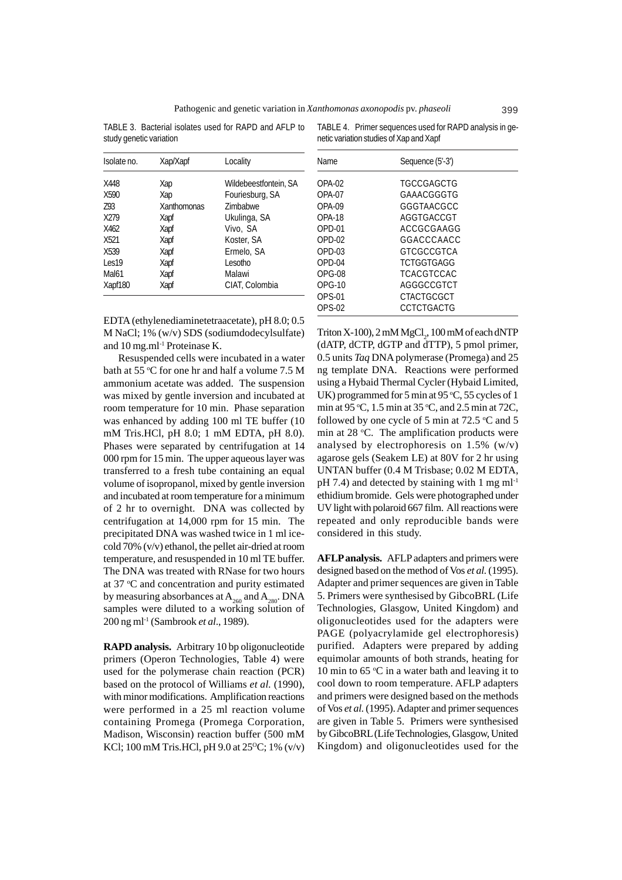TABLE 3. Bacterial isolates used for RAPD and AFLP to study genetic variation

| Isolate no.       | Xap/Xapf    | Locality              |
|-------------------|-------------|-----------------------|
| X448              | Xap         | Wildebeestfontein, SA |
| X590              | Xap         | Fouriesburg, SA       |
| Z93               | Xanthomonas | <b>Zimbabwe</b>       |
| X279              | Xapf        | Ukulinga, SA          |
| X462              | Xapf        | Vivo, SA              |
| X <sub>521</sub>  | Xapf        | Koster, SA            |
| X539              | Xapf        | Ermelo, SA            |
| Les <sub>19</sub> | Xapf        | Lesotho               |
| Mal61             | Xapf        | Malawi                |
| Xapf180           | Xapf        | CIAT, Colombia        |

TABLE 4. Primer sequences used for RAPD analysis in genetic variation studies of Xap and Xapf

| Name             | Sequence (5'-3')         |
|------------------|--------------------------|
| $OPA-02$         | <b>TGCCGAGCTG</b>        |
| $OPA-07$         | GAAACGGGTG               |
| $OPA-09$         | GGGTAACGCC               |
| OPA-18<br>OPD-01 | AGGTGACCGT<br>ACCGCGAAGG |
| $OPD-02$         | GGACCCAACC               |
| $OPD-0.3$        | GTCGCCGTCA               |
| $OPD-04$         | <b>TCTGGTGAGG</b>        |
| OPG-08           | <b>TCACGTCCAC</b>        |
| $OPG-10$         | AGGGCCGTCT               |
| $OPS-01$         | CTACTGCGCT               |
| OPS-02           | CCTCTGACTG               |

EDTA (ethylenediaminetetraacetate), pH 8.0; 0.5 M NaCl; 1% (w/v) SDS (sodiumdodecylsulfate) and 10 mg.ml-1 Proteinase K.

Resuspended cells were incubated in a water bath at 55 °C for one hr and half a volume 7.5 M ammonium acetate was added. The suspension was mixed by gentle inversion and incubated at room temperature for 10 min. Phase separation was enhanced by adding 100 ml TE buffer (10 mM Tris.HCl, pH 8.0; 1 mM EDTA, pH 8.0). Phases were separated by centrifugation at 14 000 rpm for 15 min. The upper aqueous layer was transferred to a fresh tube containing an equal volume of isopropanol, mixed by gentle inversion and incubated at room temperature for a minimum of 2 hr to overnight. DNA was collected by centrifugation at 14,000 rpm for 15 min. The precipitated DNA was washed twice in 1 ml icecold 70% (v/v) ethanol, the pellet air-dried at room temperature, and resuspended in 10 ml TE buffer. The DNA was treated with RNase for two hours at 37 °C and concentration and purity estimated by measuring absorbances at  $A_{260}$  and  $A_{280}$ . DNA samples were diluted to a working solution of 200 ng ml-1 (Sambrook *et al*., 1989).

**RAPD analysis.** Arbitrary 10 bp oligonucleotide primers (Operon Technologies, Table 4) were used for the polymerase chain reaction (PCR) based on the protocol of Williams *et al.* (1990), with minor modifications. Amplification reactions were performed in a 25 ml reaction volume containing Promega (Promega Corporation, Madison, Wisconsin) reaction buffer (500 mM KCl; 100 mM Tris.HCl, pH 9.0 at  $25^{\circ}$ C; 1% (v/v)

Triton X-100),  $2 \text{ mM MgCl}_2$ ,  $100 \text{ mM of each dNTP}$ (dATP, dCTP, dGTP and dTTP), 5 pmol primer, 0.5 units *Taq* DNA polymerase (Promega) and 25 ng template DNA. Reactions were performed using a Hybaid Thermal Cycler (Hybaid Limited, UK) programmed for 5 min at  $95 °C$ , 55 cycles of 1 min at 95 °C, 1.5 min at 35 °C, and 2.5 min at 72C, followed by one cycle of 5 min at  $72.5$  °C and 5 min at 28 °C. The amplification products were analysed by electrophoresis on  $1.5\%$  (w/v) agarose gels (Seakem LE) at 80V for 2 hr using UNTAN buffer (0.4 M Trisbase; 0.02 M EDTA,  $pH$  7.4) and detected by staining with 1 mg m $l^{-1}$ ethidium bromide. Gels were photographed under UV light with polaroid 667 film. All reactions were repeated and only reproducible bands were considered in this study.

**AFLP analysis.** AFLP adapters and primers were designed based on the method of Vos *et al.* (1995). Adapter and primer sequences are given in Table 5. Primers were synthesised by GibcoBRL (Life Technologies, Glasgow, United Kingdom) and oligonucleotides used for the adapters were PAGE (polyacrylamide gel electrophoresis) purified. Adapters were prepared by adding equimolar amounts of both strands, heating for 10 min to 65  $\mathrm{C}$  in a water bath and leaving it to cool down to room temperature. AFLP adapters and primers were designed based on the methods of Vos *et al.* (1995). Adapter and primer sequences are given in Table 5. Primers were synthesised by GibcoBRL (Life Technologies, Glasgow, United Kingdom) and oligonucleotides used for the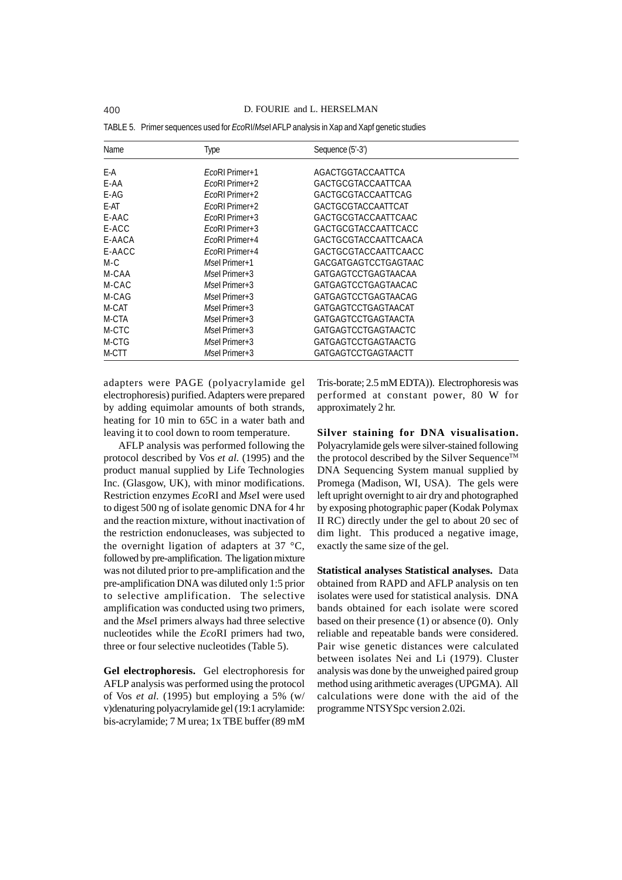| Name   | Type             | Sequence (5'-3')     |
|--------|------------------|----------------------|
| E-A    | $F_{C}$ Primer+1 | AGACTGGTACCAATTCA    |
| E-AA   | EcoRI Primer+2   | GACTGCGTACCAATTCAA   |
| $E-AG$ | EcoRI Primer+2   | GACTGCGTACCAATTCAG   |
| E-AT   | $EcoRI$ Primer+2 | GACTGCGTACCAATTCAT   |
| E-AAC  | $FcoRI$ Primer+3 | GACTGCGTACCAATTCAAC  |
| E-ACC  | $EcoRI$ Primer+3 | GACTGCGTACCAATTCACC  |
| E-AACA | EcoRI Primer+4   | GACTGCGTACCAATTCAACA |
| E-AACC | EcoRI Primer+4   | GACTGCGTACCAATTCAACC |
| $M-C$  | Msel Primer+1    | GACGATGAGTCCTGAGTAAC |
| M-CAA  | Msel Primer+3    | GATGAGTCCTGAGTAACAA  |
| M-CAC  | Msel Primer+3    | GATGAGTCCTGAGTAACAC  |
| M-CAG  | $M$ sel Primer+3 | GATGAGTCCTGAGTAACAG  |
| M-CAT  | Msel Primer+3    | GATGAGTCCTGAGTAACAT  |
| M-CTA  | $M$ sel Primer+3 | GATGAGTCCTGAGTAACTA  |
| M-CTC  | Msel Primer+3    | GATGAGTCCTGAGTAACTC  |
| M-CTG  | Msel Primer+3    | GATGAGTCCTGAGTAACTG  |
| M-CTT  | Msel Primer+3    | GATGAGTCCTGAGTAACTT  |

TABLE 5. Primer sequences used for *Eco*RI/*Mse*I AFLP analysis in Xap and Xapf genetic studies

adapters were PAGE (polyacrylamide gel electrophoresis) purified. Adapters were prepared by adding equimolar amounts of both strands, heating for 10 min to 65C in a water bath and leaving it to cool down to room temperature.

AFLP analysis was performed following the protocol described by Vos *et al.* (1995) and the product manual supplied by Life Technologies Inc. (Glasgow, UK), with minor modifications. Restriction enzymes *Eco*RI and *Mse*I were used to digest 500 ng of isolate genomic DNA for 4 hr and the reaction mixture, without inactivation of the restriction endonucleases, was subjected to the overnight ligation of adapters at 37 °C, followed by pre-amplification. The ligation mixture was not diluted prior to pre-amplification and the pre-amplification DNA was diluted only 1:5 prior to selective amplification. The selective amplification was conducted using two primers, and the *Mse*I primers always had three selective nucleotides while the *Eco*RI primers had two, three or four selective nucleotides (Table 5).

**Gel electrophoresis.** Gel electrophoresis for AFLP analysis was performed using the protocol of Vos *et al.* (1995) but employing a 5% (w/ v)denaturing polyacrylamide gel (19:1 acrylamide: bis-acrylamide; 7 M urea; 1x TBE buffer (89 mM

Tris-borate; 2.5 mM EDTA)). Electrophoresis was performed at constant power, 80 W for approximately 2 hr.

**Silver staining for DNA visualisation.** Polyacrylamide gels were silver-stained following the protocol described by the Silver Sequence™ DNA Sequencing System manual supplied by Promega (Madison, WI, USA). The gels were left upright overnight to air dry and photographed by exposing photographic paper (Kodak Polymax II RC) directly under the gel to about 20 sec of dim light. This produced a negative image, exactly the same size of the gel.

**Statistical analyses Statistical analyses.** Data obtained from RAPD and AFLP analysis on ten isolates were used for statistical analysis. DNA bands obtained for each isolate were scored based on their presence (1) or absence (0). Only reliable and repeatable bands were considered. Pair wise genetic distances were calculated between isolates Nei and Li (1979). Cluster analysis was done by the unweighed paired group method using arithmetic averages (UPGMA). All calculations were done with the aid of the programme NTSYSpc version 2.02i.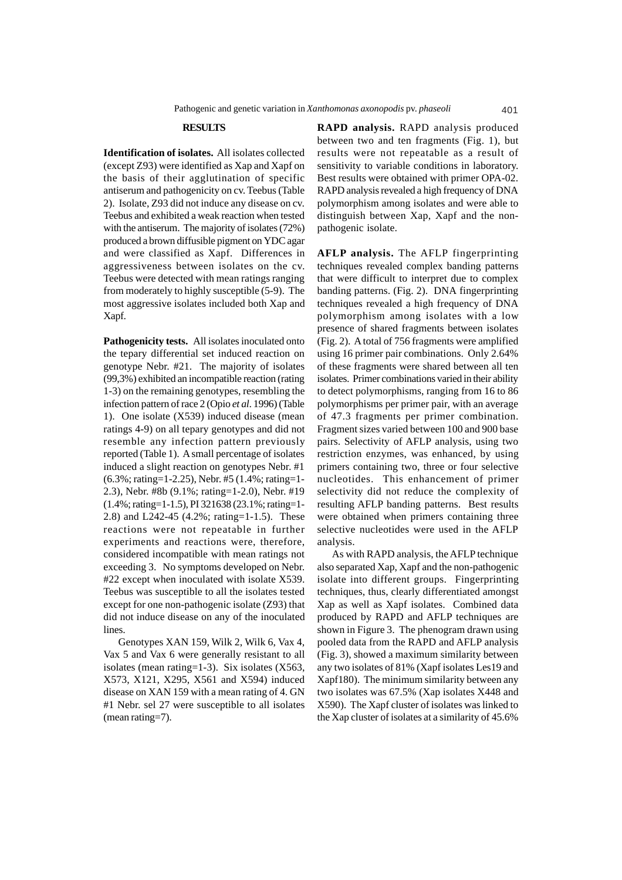## **RESULTS**

**Identification of isolates.** All isolates collected (except Z93) were identified as Xap and Xapf on the basis of their agglutination of specific antiserum and pathogenicity on cv. Teebus (Table 2). Isolate, Z93 did not induce any disease on cv. Teebus and exhibited a weak reaction when tested with the antiserum. The majority of isolates (72%) produced a brown diffusible pigment on YDC agar and were classified as Xapf. Differences in aggressiveness between isolates on the cv. Teebus were detected with mean ratings ranging from moderately to highly susceptible (5-9). The most aggressive isolates included both Xap and Xapf.

**Pathogenicity tests.** All isolates inoculated onto the tepary differential set induced reaction on genotype Nebr. #21. The majority of isolates (99,3%) exhibited an incompatible reaction (rating 1-3) on the remaining genotypes, resembling the infection pattern of race 2 (Opio *et al*. 1996) (Table 1). One isolate (X539) induced disease (mean ratings 4-9) on all tepary genotypes and did not resemble any infection pattern previously reported (Table 1). A small percentage of isolates induced a slight reaction on genotypes Nebr. #1 (6.3%; rating=1-2.25), Nebr. #5 (1.4%; rating=1- 2.3), Nebr. #8b (9.1%; rating=1-2.0), Nebr. #19 (1.4%; rating=1-1.5), PI 321638 (23.1%; rating=1- 2.8) and L242-45 (4.2%; rating=1-1.5). These reactions were not repeatable in further experiments and reactions were, therefore, considered incompatible with mean ratings not exceeding 3. No symptoms developed on Nebr. #22 except when inoculated with isolate X539. Teebus was susceptible to all the isolates tested except for one non-pathogenic isolate (Z93) that did not induce disease on any of the inoculated **lines** 

Genotypes XAN 159, Wilk 2, Wilk 6, Vax 4, Vax 5 and Vax 6 were generally resistant to all isolates (mean rating=1-3). Six isolates (X563, X573, X121, X295, X561 and X594) induced disease on XAN 159 with a mean rating of 4. GN #1 Nebr. sel 27 were susceptible to all isolates (mean rating=7).

**RAPD analysis.** RAPD analysis produced between two and ten fragments (Fig. 1), but results were not repeatable as a result of sensitivity to variable conditions in laboratory. Best results were obtained with primer OPA-02. RAPD analysis revealed a high frequency of DNA polymorphism among isolates and were able to distinguish between Xap, Xapf and the nonpathogenic isolate.

**AFLP analysis.** The AFLP fingerprinting techniques revealed complex banding patterns that were difficult to interpret due to complex banding patterns. (Fig. 2). DNA fingerprinting techniques revealed a high frequency of DNA polymorphism among isolates with a low presence of shared fragments between isolates (Fig. 2). A total of 756 fragments were amplified using 16 primer pair combinations. Only 2.64% of these fragments were shared between all ten isolates. Primer combinations varied in their ability to detect polymorphisms, ranging from 16 to 86 polymorphisms per primer pair, with an average of 47.3 fragments per primer combination. Fragment sizes varied between 100 and 900 base pairs. Selectivity of AFLP analysis, using two restriction enzymes, was enhanced, by using primers containing two, three or four selective nucleotides. This enhancement of primer selectivity did not reduce the complexity of resulting AFLP banding patterns. Best results were obtained when primers containing three selective nucleotides were used in the AFLP analysis.

As with RAPD analysis, the AFLP technique also separated Xap, Xapf and the non-pathogenic isolate into different groups. Fingerprinting techniques, thus, clearly differentiated amongst Xap as well as Xapf isolates. Combined data produced by RAPD and AFLP techniques are shown in Figure 3. The phenogram drawn using pooled data from the RAPD and AFLP analysis (Fig. 3), showed a maximum similarity between any two isolates of 81% (Xapf isolates Les19 and Xapf180). The minimum similarity between any two isolates was 67.5% (Xap isolates X448 and X590). The Xapf cluster of isolates was linked to the Xap cluster of isolates at a similarity of 45.6%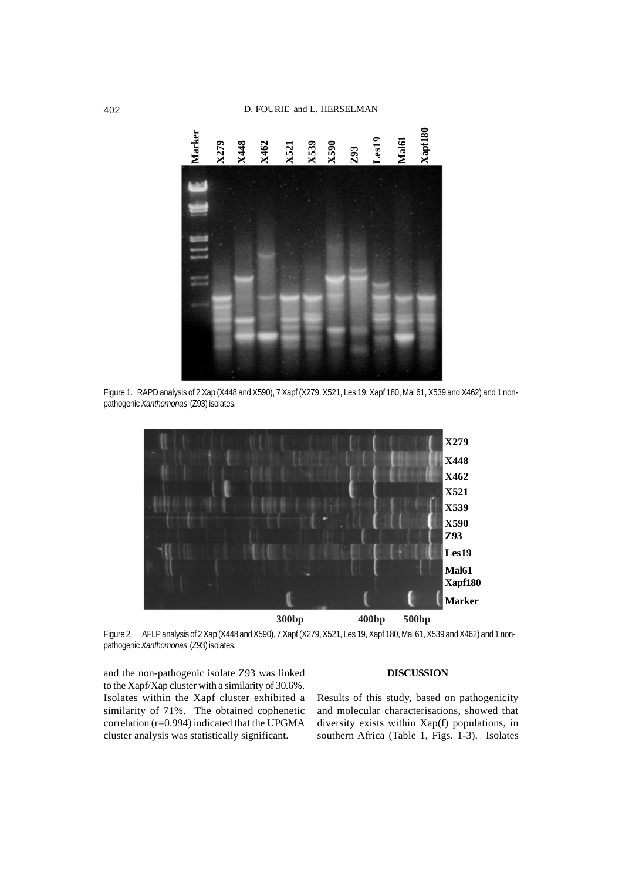

Figure 1. RAPD analysis of 2 Xap (X448 and X590), 7 Xapf (X279, X521, Les 19, Xapf 180, Mal 61, X539 and X462) and 1 non-



Figure 2. AFLP analysis of 2 Xap (X448 and X590), 7 Xapf (X279, X521, Les 19, Xapf 180, Mal 61, X539 and X462) and 1 nonpathogenic *Xanthomonas* (Z93) isolates.

and the non-pathogenic isolate Z93 was linked to the Xapf/Xap cluster with a similarity of 30.6%. Isolates within the Xapf cluster exhibited a similarity of 71%. The obtained cophenetic correlation (r=0.994) indicated that the UPGMA cluster analysis was statistically significant.

## **DISCUSSION**

Results of this study, based on pathogenicity and molecular characterisations, showed that diversity exists within Xap(f) populations, in southern Africa (Table 1, Figs. 1-3). Isolates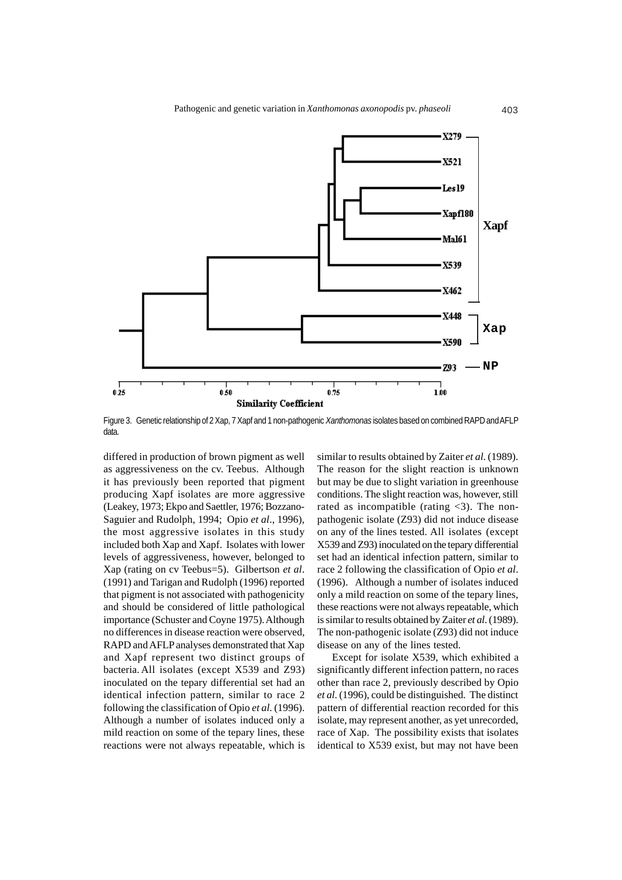

Figure 3. Genetic relationship of 2 Xap, 7 Xapf and 1 non-pathogenic *Xanthomonas* isolates based on combined RAPD and AFLP data.

differed in production of brown pigment as well as aggressiveness on the cv. Teebus. Although it has previously been reported that pigment producing Xapf isolates are more aggressive (Leakey, 1973; Ekpo and Saettler, 1976; Bozzano-Saguier and Rudolph, 1994; Opio *et al*., 1996), the most aggressive isolates in this study included both Xap and Xapf. Isolates with lower levels of aggressiveness, however, belonged to Xap (rating on cv Teebus=5). Gilbertson *et al*. (1991) and Tarigan and Rudolph (1996) reported that pigment is not associated with pathogenicity and should be considered of little pathological importance (Schuster and Coyne 1975). Although no differences in disease reaction were observed, RAPD and AFLP analyses demonstrated that Xap and Xapf represent two distinct groups of bacteria. All isolates (except X539 and Z93) inoculated on the tepary differential set had an identical infection pattern, similar to race 2 following the classification of Opio *et al*. (1996). Although a number of isolates induced only a mild reaction on some of the tepary lines, these reactions were not always repeatable, which is

similar to results obtained by Zaiter *et al*. (1989). The reason for the slight reaction is unknown but may be due to slight variation in greenhouse conditions. The slight reaction was, however, still rated as incompatible (rating  $\langle 3 \rangle$ ). The nonpathogenic isolate (Z93) did not induce disease on any of the lines tested. All isolates (except X539 and Z93) inoculated on the tepary differential set had an identical infection pattern, similar to race 2 following the classification of Opio *et al*. (1996). Although a number of isolates induced only a mild reaction on some of the tepary lines, these reactions were not always repeatable, which is similar to results obtained by Zaiter *et al*. (1989). The non-pathogenic isolate (Z93) did not induce disease on any of the lines tested.

Except for isolate X539, which exhibited a significantly different infection pattern, no races other than race 2, previously described by Opio *et al*. (1996), could be distinguished. The distinct pattern of differential reaction recorded for this isolate, may represent another, as yet unrecorded, race of Xap. The possibility exists that isolates identical to X539 exist, but may not have been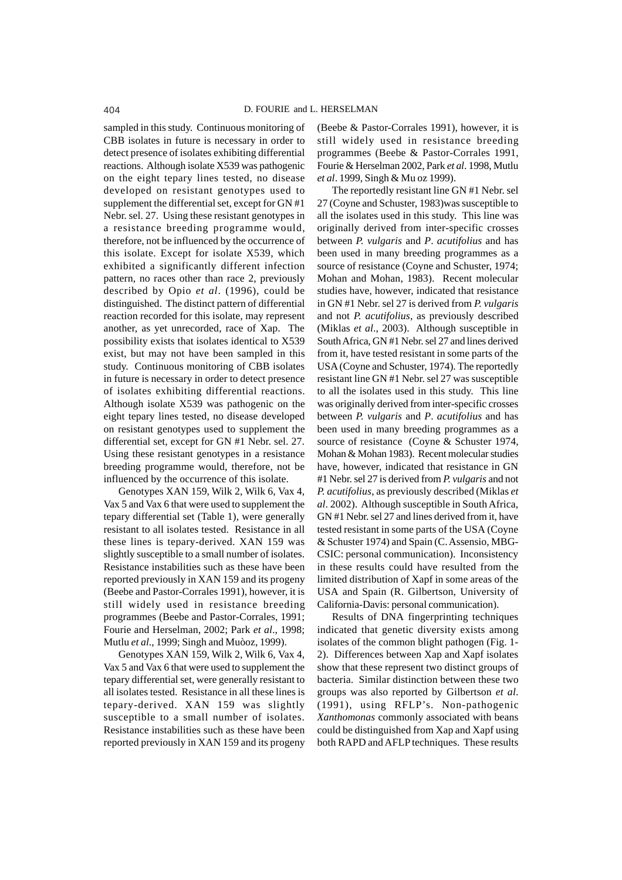sampled in this study. Continuous monitoring of CBB isolates in future is necessary in order to detect presence of isolates exhibiting differential reactions. Although isolate X539 was pathogenic on the eight tepary lines tested, no disease developed on resistant genotypes used to supplement the differential set, except for GN #1 Nebr. sel. 27. Using these resistant genotypes in a resistance breeding programme would, therefore, not be influenced by the occurrence of this isolate. Except for isolate X539, which exhibited a significantly different infection pattern, no races other than race 2, previously described by Opio *et al*. (1996), could be distinguished. The distinct pattern of differential reaction recorded for this isolate, may represent another, as yet unrecorded, race of Xap. The possibility exists that isolates identical to X539 exist, but may not have been sampled in this study. Continuous monitoring of CBB isolates in future is necessary in order to detect presence of isolates exhibiting differential reactions. Although isolate X539 was pathogenic on the eight tepary lines tested, no disease developed on resistant genotypes used to supplement the differential set, except for GN #1 Nebr. sel. 27. Using these resistant genotypes in a resistance breeding programme would, therefore, not be influenced by the occurrence of this isolate.

Genotypes XAN 159, Wilk 2, Wilk 6, Vax 4, Vax 5 and Vax 6 that were used to supplement the tepary differential set (Table 1), were generally resistant to all isolates tested. Resistance in all these lines is tepary-derived. XAN 159 was slightly susceptible to a small number of isolates. Resistance instabilities such as these have been reported previously in XAN 159 and its progeny (Beebe and Pastor-Corrales 1991), however, it is still widely used in resistance breeding programmes (Beebe and Pastor-Corrales, 1991; Fourie and Herselman, 2002; Park *et al*., 1998; Mutlu *et al*., 1999; Singh and Muòoz, 1999).

Genotypes XAN 159, Wilk 2, Wilk 6, Vax 4, Vax 5 and Vax 6 that were used to supplement the tepary differential set, were generally resistant to all isolates tested. Resistance in all these lines is tepary-derived. XAN 159 was slightly susceptible to a small number of isolates. Resistance instabilities such as these have been reported previously in XAN 159 and its progeny

(Beebe & Pastor-Corrales 1991), however, it is still widely used in resistance breeding programmes (Beebe & Pastor-Corrales 1991, Fourie & Herselman 2002, Park *et al*. 1998, Mutlu *et al*. 1999, Singh & Mu oz 1999).

The reportedly resistant line GN #1 Nebr. sel 27 (Coyne and Schuster, 1983)was susceptible to all the isolates used in this study. This line was originally derived from inter-specific crosses between *P. vulgaris* and *P*. *acutifolius* and has been used in many breeding programmes as a source of resistance (Coyne and Schuster, 1974; Mohan and Mohan, 1983). Recent molecular studies have, however, indicated that resistance in GN #1 Nebr. sel 27 is derived from *P. vulgaris* and not *P. acutifolius*, as previously described (Miklas *et al*., 2003). Although susceptible in South Africa, GN #1 Nebr. sel 27 and lines derived from it, have tested resistant in some parts of the USA (Coyne and Schuster, 1974). The reportedly resistant line GN #1 Nebr. sel 27 was susceptible to all the isolates used in this study. This line was originally derived from inter-specific crosses between *P. vulgaris* and *P*. *acutifolius* and has been used in many breeding programmes as a source of resistance (Coyne & Schuster 1974, Mohan & Mohan 1983). Recent molecular studies have, however, indicated that resistance in GN #1 Nebr. sel 27 is derived from *P. vulgaris* and not *P. acutifolius*, as previously described (Miklas *et al*. 2002). Although susceptible in South Africa, GN #1 Nebr. sel 27 and lines derived from it, have tested resistant in some parts of the USA (Coyne & Schuster 1974) and Spain (C. Assensio, MBG-CSIC: personal communication). Inconsistency in these results could have resulted from the limited distribution of Xapf in some areas of the USA and Spain (R. Gilbertson, University of California-Davis: personal communication).

Results of DNA fingerprinting techniques indicated that genetic diversity exists among isolates of the common blight pathogen (Fig. 1- 2). Differences between Xap and Xapf isolates show that these represent two distinct groups of bacteria. Similar distinction between these two groups was also reported by Gilbertson *et al*. (1991), using RFLP's. Non-pathogenic *Xanthomonas* commonly associated with beans could be distinguished from Xap and Xapf using both RAPD and AFLP techniques. These results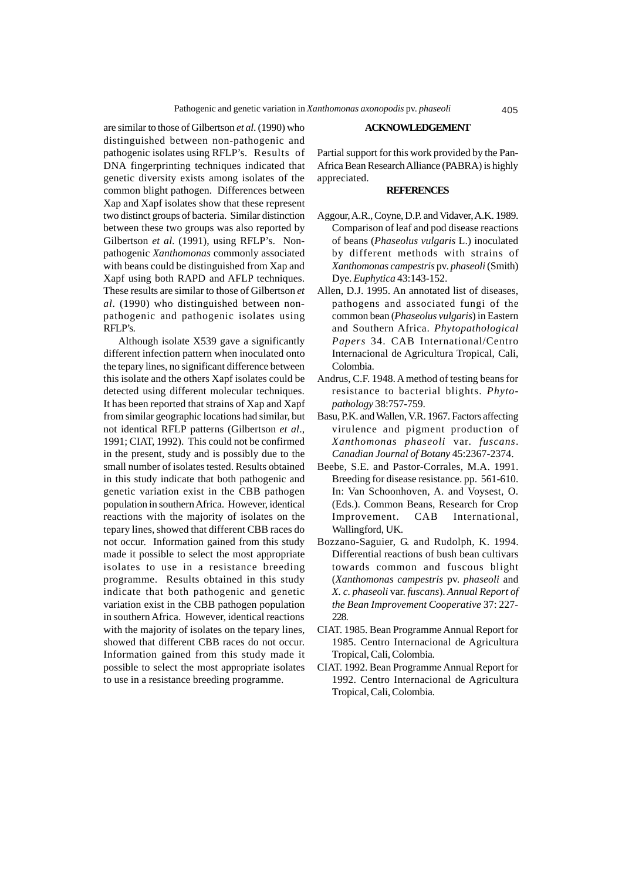are similar to those of Gilbertson *et al*. (1990) who distinguished between non-pathogenic and pathogenic isolates using RFLP's. Results of DNA fingerprinting techniques indicated that genetic diversity exists among isolates of the common blight pathogen. Differences between Xap and Xapf isolates show that these represent two distinct groups of bacteria. Similar distinction between these two groups was also reported by Gilbertson *et al*. (1991), using RFLP's. Nonpathogenic *Xanthomonas* commonly associated with beans could be distinguished from Xap and Xapf using both RAPD and AFLP techniques. These results are similar to those of Gilbertson *et al*. (1990) who distinguished between nonpathogenic and pathogenic isolates using RFLP's.

Although isolate X539 gave a significantly different infection pattern when inoculated onto the tepary lines, no significant difference between this isolate and the others Xapf isolates could be detected using different molecular techniques. It has been reported that strains of Xap and Xapf from similar geographic locations had similar, but not identical RFLP patterns (Gilbertson *et al*., 1991; CIAT, 1992). This could not be confirmed in the present, study and is possibly due to the small number of isolates tested. Results obtained in this study indicate that both pathogenic and genetic variation exist in the CBB pathogen population in southern Africa. However, identical reactions with the majority of isolates on the tepary lines, showed that different CBB races do not occur. Information gained from this study made it possible to select the most appropriate isolates to use in a resistance breeding programme. Results obtained in this study indicate that both pathogenic and genetic variation exist in the CBB pathogen population in southern Africa. However, identical reactions with the majority of isolates on the tepary lines, showed that different CBB races do not occur. Information gained from this study made it possible to select the most appropriate isolates to use in a resistance breeding programme.

### **ACKNOWLEDGEMENT**

Partial support for this work provided by the Pan-Africa Bean Research Alliance (PABRA) is highly appreciated.

## **REFERENCES**

- Aggour, A.R., Coyne, D.P. and Vidaver, A.K. 1989. Comparison of leaf and pod disease reactions of beans (*Phaseolus vulgaris* L.) inoculated by different methods with strains of *Xanthomonas campestris* pv. *phaseoli*(Smith) Dye. *Euphytica* 43:143-152.
- Allen, D.J. 1995. An annotated list of diseases, pathogens and associated fungi of the common bean (*Phaseolus vulgaris*) in Eastern and Southern Africa. *Phytopathological Papers* 34. CAB International/Centro Internacional de Agricultura Tropical, Cali, Colombia.
- Andrus, C.F. 1948. A method of testing beans for resistance to bacterial blights. *Phytopathology* 38:757-759.
- Basu, P.K. and Wallen, V.R. 1967. Factors affecting virulence and pigment production of *Xanthomonas phaseoli* var. *fuscans*. *Canadian Journal of Botany* 45:2367-2374.
- Beebe, S.E. and Pastor-Corrales, M.A. 1991. Breeding for disease resistance. pp. 561-610. In: Van Schoonhoven, A. and Voysest, O. (Eds.). Common Beans, Research for Crop Improvement. CAB International, Wallingford, UK.
- Bozzano-Saguier, G. and Rudolph, K. 1994. Differential reactions of bush bean cultivars towards common and fuscous blight (*Xanthomonas campestris* pv. *phaseoli* and *X. c. phaseoli* var. *fuscans*). *Annual Report of the Bean Improvement Cooperative* 37: 227- 228.
- CIAT. 1985. Bean Programme Annual Report for 1985. Centro Internacional de Agricultura Tropical, Cali, Colombia.
- CIAT. 1992. Bean Programme Annual Report for 1992. Centro Internacional de Agricultura Tropical, Cali, Colombia.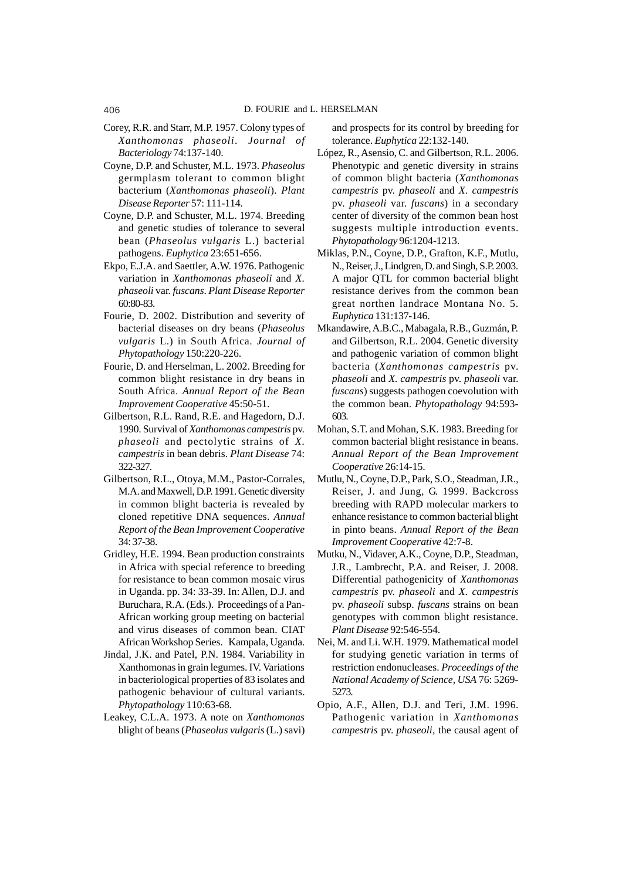- Corey, R.R. and Starr, M.P. 1957. Colony types of *Xanthomonas phaseoli*. *Journal of Bacteriology* 74:137-140.
- Coyne, D.P. and Schuster, M.L. 1973. *Phaseolus* germplasm tolerant to common blight bacterium (*Xanthomonas phaseoli*). *Plant Disease Reporter* 57: 111-114.
- Coyne, D.P. and Schuster, M.L. 1974. Breeding and genetic studies of tolerance to several bean (*Phaseolus vulgaris* L.) bacterial pathogens. *Euphytica* 23:651-656.
- Ekpo, E.J.A. and Saettler, A.W. 1976. Pathogenic variation in *Xanthomonas phaseoli* and *X. phaseoli* var. *fuscans*. *Plant Disease Reporter* 60:80-83.
- Fourie, D. 2002. Distribution and severity of bacterial diseases on dry beans (*Phaseolus vulgaris* L.) in South Africa. *Journal of Phytopathology* 150:220-226.
- Fourie, D. and Herselman, L. 2002. Breeding for common blight resistance in dry beans in South Africa. *Annual Report of the Bean Improvement Cooperative* 45:50-51.
- Gilbertson, R.L. Rand, R.E. and Hagedorn, D.J. 1990. Survival of *Xanthomonas campestris* pv. *phaseoli* and pectolytic strains of *X. campestris* in bean debris. *Plant Disease* 74: 322-327.
- Gilbertson, R.L., Otoya, M.M., Pastor-Corrales, M.A. and Maxwell, D.P. 1991. Genetic diversity in common blight bacteria is revealed by cloned repetitive DNA sequences. *Annual Report of the Bean Improvement Cooperative* 34: 37-38.
- Gridley, H.E. 1994. Bean production constraints in Africa with special reference to breeding for resistance to bean common mosaic virus in Uganda. pp. 34: 33-39. In: Allen, D.J. and Buruchara, R.A. (Eds.). Proceedings of a Pan-African working group meeting on bacterial and virus diseases of common bean. CIAT African Workshop Series. Kampala, Uganda.
- Jindal, J.K. and Patel, P.N. 1984. Variability in Xanthomonas in grain legumes. IV. Variations in bacteriological properties of 83 isolates and pathogenic behaviour of cultural variants. *Phytopathology* 110:63-68.
- Leakey, C.L.A. 1973. A note on *Xanthomonas* blight of beans (*Phaseolus vulgaris* (L.) savi)

and prospects for its control by breeding for tolerance. *Euphytica* 22:132-140.

- López, R., Asensio, C. and Gilbertson, R.L. 2006. Phenotypic and genetic diversity in strains of common blight bacteria (*Xanthomonas campestris* pv. *phaseoli* and *X. campestris* pv. *phaseoli* var. *fuscans*) in a secondary center of diversity of the common bean host suggests multiple introduction events. *Phytopathology* 96:1204-1213.
- Miklas, P.N., Coyne, D.P., Grafton, K.F., Mutlu, N., Reiser, J., Lindgren, D. and Singh, S.P. 2003. A major QTL for common bacterial blight resistance derives from the common bean great northen landrace Montana No. 5. *Euphytica* 131:137-146.
- Mkandawire, A.B.C., Mabagala, R.B., Guzmán, P. and Gilbertson, R.L. 2004. Genetic diversity and pathogenic variation of common blight bacteria (*Xanthomonas campestris* pv. *phaseoli* and *X. campestris* pv. *phaseoli* var. *fuscans*) suggests pathogen coevolution with the common bean. *Phytopathology* 94:593- 603.
- Mohan, S.T. and Mohan, S.K. 1983. Breeding for common bacterial blight resistance in beans. *Annual Report of the Bean Improvement Cooperative* 26:14-15.
- Mutlu, N., Coyne, D.P., Park, S.O., Steadman, J.R., Reiser, J. and Jung, G. 1999. Backcross breeding with RAPD molecular markers to enhance resistance to common bacterial blight in pinto beans. *Annual Report of the Bean Improvement Cooperative* 42:7-8.
- Mutku, N., Vidaver, A.K., Coyne, D.P., Steadman, J.R., Lambrecht, P.A. and Reiser, J. 2008. Differential pathogenicity of *Xanthomonas campestris* pv. *phaseoli* and *X. campestris* pv. *phaseoli* subsp. *fuscans* strains on bean genotypes with common blight resistance. *Plant Disease* 92:546-554.
- Nei, M. and Li. W.H. 1979. Mathematical model for studying genetic variation in terms of restriction endonucleases. *Proceedings of the National Academy of Science, USA* 76: 5269- 5273.
- Opio, A.F., Allen, D.J. and Teri, J.M. 1996. Pathogenic variation in *Xanthomonas campestris* pv. *phaseoli*, the causal agent of